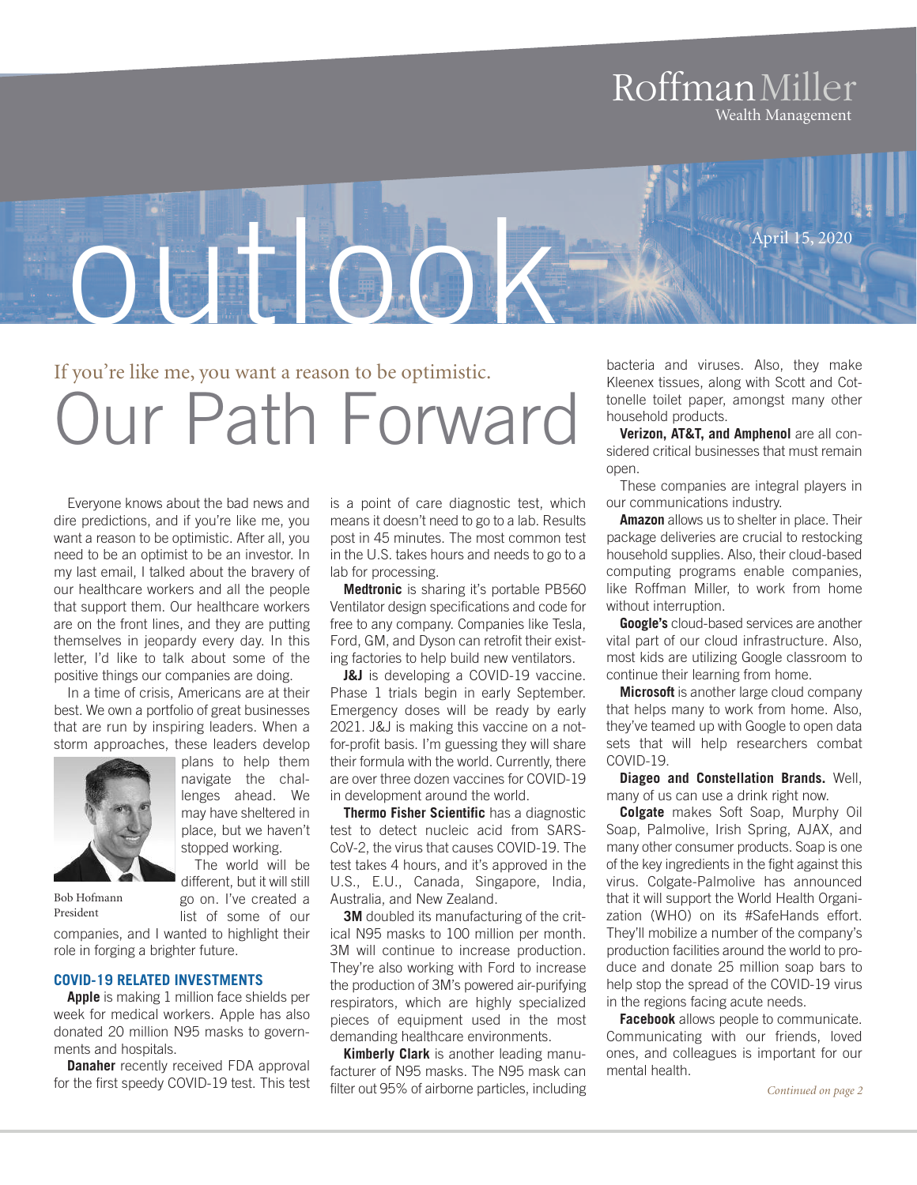### RoffmanMiller Wealth Management



If you're like me, you want a reason to be optimistic.

# Our Path Forward

Everyone knows about the bad news and dire predictions, and if you're like me, you want a reason to be optimistic. After all, you need to be an optimist to be an investor. In my last email, I talked about the bravery of our healthcare workers and all the people that support them. Our healthcare workers are on the front lines, and they are putting themselves in jeopardy every day. In this letter, I'd like to talk about some of the positive things our companies are doing.

In a time of crisis, Americans are at their best. We own a portfolio of great businesses that are run by inspiring leaders. When a storm approaches, these leaders develop



plans to help them navigate the challenges ahead. We may have sheltered in place, but we haven't stopped working.

The world will be different, but it will still go on. I've created a

list of some of our

Bob Hofmann President

companies, and I wanted to highlight their role in forging a brighter future.

### **COVID-19 RELATED INVESTMENTS**

**Apple** is making 1 million face shields per week for medical workers. Apple has also donated 20 million N95 masks to governments and hospitals.

**Danaher** recently received FDA approval for the first speedy COVID-19 test. This test

is a point of care diagnostic test, which means it doesn't need to go to a lab. Results post in 45 minutes. The most common test in the U.S. takes hours and needs to go to a lab for processing.

**Medtronic** is sharing it's portable PB560 Ventilator design specifications and code for free to any company. Companies like Tesla, Ford, GM, and Dyson can retrofit their existing factories to help build new ventilators.

**J&J** is developing a COVID-19 vaccine. Phase 1 trials begin in early September. Emergency doses will be ready by early 2021. J&J is making this vaccine on a notfor-profit basis. I'm guessing they will share their formula with the world. Currently, there are over three dozen vaccines for COVID-19 in development around the world.

**Thermo Fisher Scientific** has a diagnostic test to detect nucleic acid from SARS-CoV-2, the virus that causes COVID-19. The test takes 4 hours, and it's approved in the U.S., E.U., Canada, Singapore, India, Australia, and New Zealand.

**3M** doubled its manufacturing of the critical N95 masks to 100 million per month. 3M will continue to increase production. They're also working with Ford to increase the production of 3M's powered air-purifying respirators, which are highly specialized pieces of equipment used in the most demanding healthcare environments.

**Kimberly Clark** is another leading manufacturer of N95 masks. The N95 mask can filter out 95% of airborne particles, including

bacteria and viruses. Also, they make Kleenex tissues, along with Scott and Cottonelle toilet paper, amongst many other household products.

**Verizon, AT&T, and Amphenol** are all considered critical businesses that must remain open.

These companies are integral players in our communications industry.

**Amazon** allows us to shelter in place. Their package deliveries are crucial to restocking household supplies. Also, their cloud-based computing programs enable companies, like Roffman Miller, to work from home without interruption.

**Google's** cloud-based services are another vital part of our cloud infrastructure. Also, most kids are utilizing Google classroom to continue their learning from home.

**Microsoft** is another large cloud company that helps many to work from home. Also, they've teamed up with Google to open data sets that will help researchers combat COVID-19.

**Diageo and Constellation Brands.** Well, many of us can use a drink right now.

**Colgate** makes Soft Soap, Murphy Oil Soap, Palmolive, Irish Spring, AJAX, and many other consumer products. Soap is one of the key ingredients in the fight against this virus. Colgate-Palmolive has announced that it will support the World Health Organization (WHO) on its #SafeHands effort. They'll mobilize a number of the company's production facilities around the world to produce and donate 25 million soap bars to help stop the spread of the COVID-19 virus in the regions facing acute needs.

**Facebook** allows people to communicate. Communicating with our friends, loved ones, and colleagues is important for our mental health.